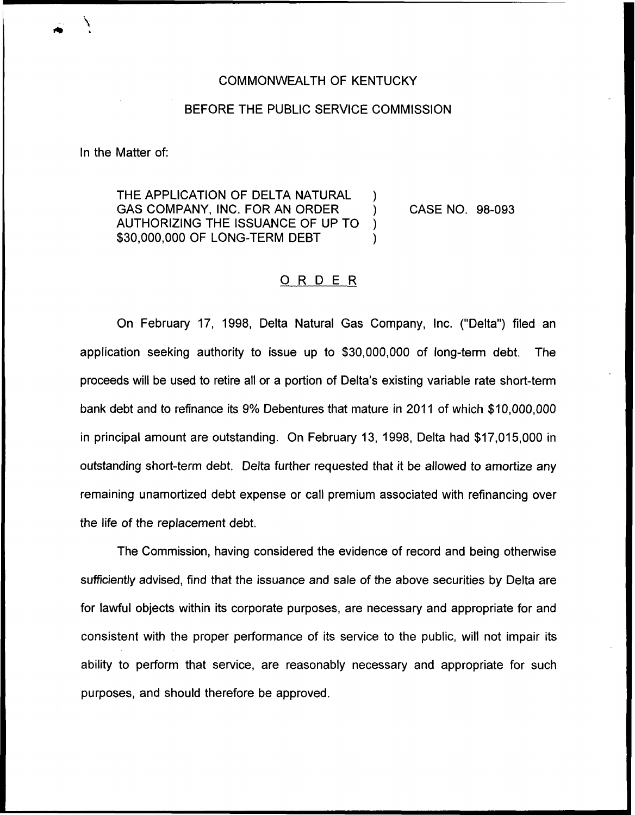## COMMONWEALTH OF KENTUCKY

## BEFORE THE PUBLIC SERVICE COMMISSION

In the Matter of:

THE APPLICATION OF DELTA NATURAL GAS COMPANY, INC. FOR AN ORDER AUTHORIZING THE ISSUANCE OF UP TO ) \$30,000,000 OF LONG-TERM DEBT

CASE NO. 98-093

## ORDER

On February 17, 1998, Delta Natural Gas Company, Inc. ("Delta") filed ar application seeking authority to issue up to \$30,000,000 of long-term debt. The proceeds will be used to retire all or a portion of Delta's existing variable rate short-term bank debt and to refinance its 9% Debentures that mature in 2011 of which \$10,000,000 in principal amount are outstanding. On February 13, 1998, Delta had \$17,015,000 in outstanding short-term debt. Delta further requested that it be allowed to amortize any remaining unamortized debt expense or call premium associated with refinancing over the life of the replacement debt.

The Commission, having considered the evidence of record and being otherwise sufficiently advised, find that the issuance and sale of the above securities by Delta are for lawful objects within its corporate purposes, are necessary and appropriate for and consistent with the proper performance of its service to the public, will not impair its ability to perform that service, are reasonably necessary and appropriate for such purposes, and should therefore be approved.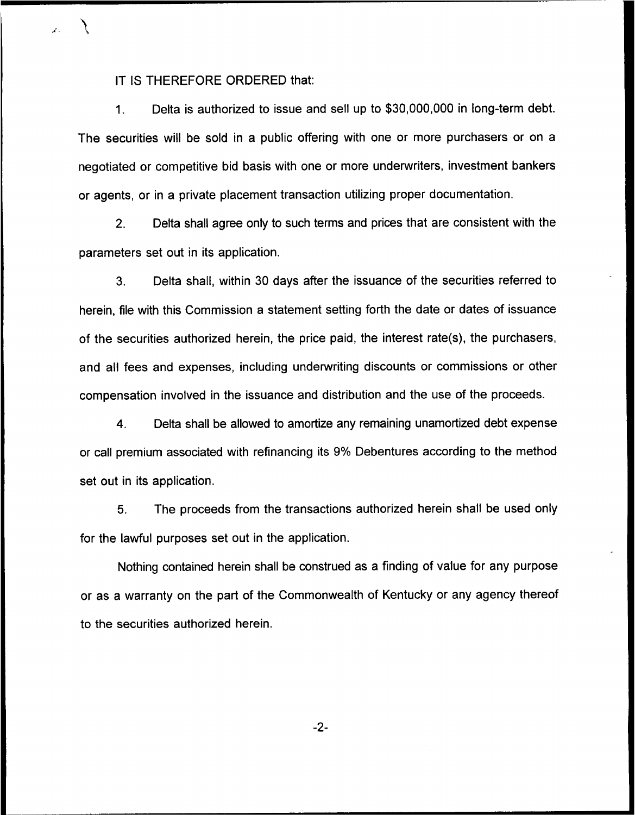IT IS THEREFORE ORDERED that:

1. Delta is authorized to issue and sell up to \$30,000,000 in long-term debt. The securities will be sold in a public offering with one or more purchasers or on a negotiated or competitive bid basis with one or more underwriters, investment bankers or agents, or in a private placement transaction utilizing proper documentation.

2. Delta shall agree only to such terms and prices that are consistent with the parameters set out in its application.

3. Delta shall, within 30 days after the issuance of the securities referred to herein, file with this Commission a statement setting forth the date or dates of issuance of the securities authorized herein, the price paid, the interest rate(s), the purchasers, and all fees and expenses, including underwriting discounts or commissions or other compensation involved in the issuance and distribution and the use of the proceeds.

4. Delta shall be allowed to amortize any remaining unamortized debt expense or call premium associated with refinancing its 9% Debentures according to the method set out in its application.

5. The proceeds from the transactions authorized herein shall be used only for the lawful purposes set out in the application.

Nothing contained herein shall be construed as a finding of value for any purpose or as a warranty on the part of the Commonwealth of Kentucky or any agency thereof to the securities authorized herein.

-2-